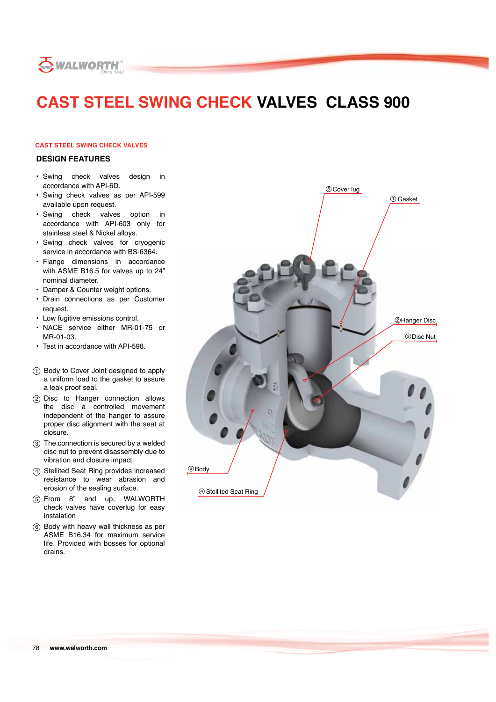

# **CAST STEEL SWING CHECK VALVES CLASS 900**

### **CAST STEEL SWING CHECK VALVES**

#### **DESIGN FEATURES**

- Swing check valves design in accordance with API-6D.
- Swing check valves as per API-599 available upon request.
- Swing check valves option in accordance with API-603 only for stainless steel & Nickel alloys.
- Swing check valves for cryogenic service in accordance with BS-6364.
- Flange dimensions in accordance with ASME B16.5 for valves up to 24" nominal diameter.
- Damper & Counter weight options.
- Drain connections as per Customer request.
- Low fugitive emissions control.
- NACE service either MR-01-75 or MR-01-03.
- Test in accordance with API-598.
- 1 Body to Cover Joint designed to apply a uniform load to the gasket to assure a leak proof seal.
- 2 Disc to Hanger connection allows the disc a controlled movement independent of the hanger to assure proper disc alignment with the seat at closure.
- 3 The connection is secured by a welded disc nut to prevent disassembly due to vibration and closure impact.
- 4 Stellited Seat Ring provides increased resistance to wear abrasion and erosion of the sealing surface.
- 5 From 8" and up, WALWORTH check valves have coverlug for easy instalation
- 6 Body with heavy wall thickness as per ASME B16.34 for maximum service life. Provided with bosses for optional drains.

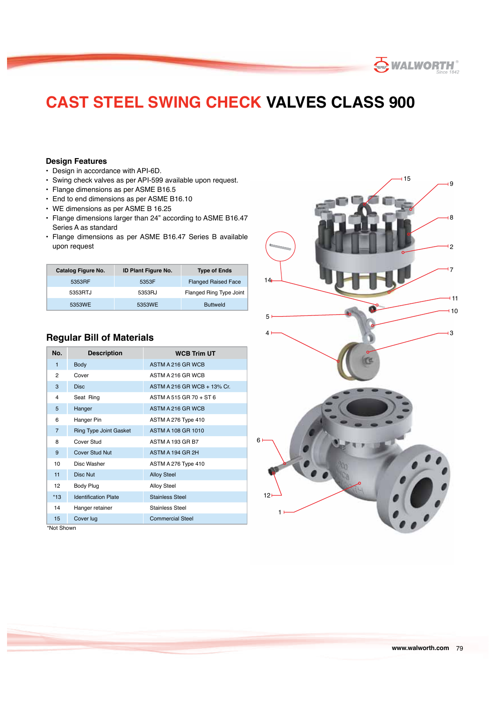## **CAST STEEL SWING CHECK VALVES CLASS 900**

### **Design Features**

- Design in accordance with API-6D.
- Swing check valves as per API-599 available upon request.
- Flange dimensions as per ASME B16.5
- End to end dimensions as per ASME B16.10
- WE dimensions as per ASME B 16.25
- Flange dimensions larger than 24" according to ASME B16.47 Series A as standard
- Flange dimensions as per ASME B16.47 Series B available upon request

| Catalog Figure No. | <b>ID Plant Figure No.</b> | <b>Type of Ends</b>        |  |  |  |
|--------------------|----------------------------|----------------------------|--|--|--|
| 5353RF             | 5353F                      | <b>Flanged Raised Face</b> |  |  |  |
| 5353RTJ            | 5353RJ                     | Flanged Ring Type Joint    |  |  |  |
| 5353WE             | 5353WE                     | <b>Buttweld</b>            |  |  |  |

## **Regular Bill of Materials**

| No.            | <b>Description</b>            | <b>WCB Trim UT</b>          |
|----------------|-------------------------------|-----------------------------|
| 1              | <b>Body</b>                   | ASTM A 216 GR WCB           |
| 2              | Cover                         | ASTM A 216 GR WCB           |
| 3              | <b>Disc</b>                   | ASTM A 216 GR WCB + 13% Cr. |
| 4              | Seat Ring                     | ASTM A 515 GR 70 + ST 6     |
| 5              | Hanger                        | ASTM A 216 GR WCB           |
| 6              | Hanger Pin                    | ASTM A 276 Type 410         |
| $\overline{7}$ | <b>Ring Type Joint Gasket</b> | ASTM A 108 GR 1010          |
| 8              | Cover Stud                    | ASTM A 193 GR B7            |
| 9              | <b>Cover Stud Nut</b>         | ASTM A 194 GR 2H            |
| 10             | Disc Washer                   | ASTM A 276 Type 410         |
| 11             | Disc Nut                      | <b>Alloy Steel</b>          |
| 12             | Body Plug                     | <b>Alloy Steel</b>          |
| $*13$          | <b>Identification Plate</b>   | <b>Stainless Steel</b>      |
| 14             | Hanger retainer               | Stainless Steel             |
| 15             | Cover lug                     | <b>Commercial Steel</b>     |

\*Not Shown



**SWALWORTH®**